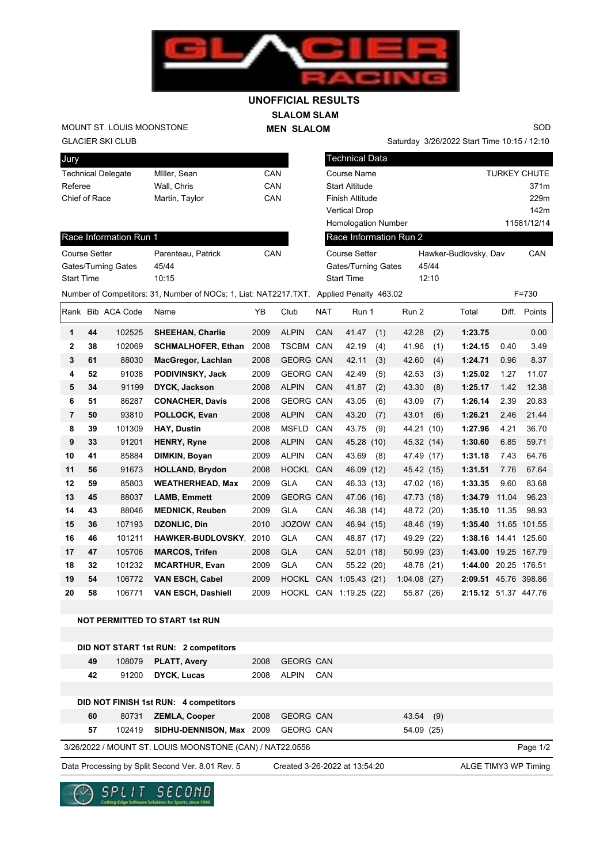

## **SLALOM SLAM UNOFFICIAL RESULTS**

**MEN SLALOM** 

GLACIER SKI CLUB MOUNT ST. LOUIS MOONSTONE

Saturday 3/26/2022 Start Time 10:15 / 12:10

SOD

| Jury                 |    |                           |                                                                                         |      |                  |                      | <b>Technical Data</b>         |                        |                       |                      |       |                     |
|----------------------|----|---------------------------|-----------------------------------------------------------------------------------------|------|------------------|----------------------|-------------------------------|------------------------|-----------------------|----------------------|-------|---------------------|
|                      |    | <b>Technical Delegate</b> | Miller, Sean                                                                            | CAN  |                  |                      | Course Name                   |                        |                       |                      |       | <b>TURKEY CHUTE</b> |
| Referee              |    |                           | Wall, Chris                                                                             | CAN  |                  |                      | <b>Start Altitude</b>         |                        |                       |                      |       | 371m                |
| Chief of Race        |    |                           | Martin, Taylor                                                                          | CAN  |                  |                      | Finish Altitude               |                        |                       |                      |       | 229m                |
|                      |    |                           |                                                                                         |      |                  |                      | <b>Vertical Drop</b>          |                        |                       |                      |       | 142m                |
|                      |    |                           |                                                                                         |      |                  |                      | <b>Homologation Number</b>    |                        |                       |                      |       | 11581/12/14         |
|                      |    | Race Information Run 1    |                                                                                         |      |                  |                      |                               | Race Information Run 2 |                       |                      |       |                     |
| <b>Course Setter</b> |    |                           | Parenteau, Patrick                                                                      | CAN  |                  | <b>Course Setter</b> |                               |                        | Hawker-Budlovsky, Dav |                      |       | CAN                 |
| Gates/Turning Gates  |    |                           | 45/44                                                                                   |      |                  |                      | Gates/Turning Gates           |                        | 45/44                 |                      |       |                     |
| <b>Start Time</b>    |    |                           | 10:15                                                                                   |      |                  | <b>Start Time</b>    |                               |                        | 12:10                 |                      |       |                     |
|                      |    |                           | Number of Competitors: 31, Number of NOCs: 1, List: NAT2217.TXT, Applied Penalty 463.02 |      |                  |                      |                               |                        |                       |                      |       | $F = 730$           |
|                      |    | Rank Bib ACA Code         | Name                                                                                    | ΥB   | Club             | NAT                  | Run 1                         | Run 2                  |                       | Total                | Diff. | Points              |
| 1                    | 44 | 102525                    | <b>SHEEHAN, Charlie</b>                                                                 | 2009 | <b>ALPIN</b>     | CAN                  | 41.47                         | 42.28<br>(1)           | (2)                   | 1:23.75              |       | 0.00                |
| 2                    | 38 | 102069                    | <b>SCHMALHOFER, Ethan</b>                                                               | 2008 | TSCBM CAN        |                      | 42.19                         | 41.96<br>(4)           | (1)                   | 1:24.15              | 0.40  | 3.49                |
| 3                    | 61 | 88030                     | MacGregor, Lachlan                                                                      | 2008 | <b>GEORG CAN</b> |                      | 42.11                         | 42.60<br>(3)           | (4)                   | 1:24.71              | 0.96  | 8.37                |
| 4                    | 52 | 91038                     | PODIVINSKY, Jack                                                                        | 2009 | GEORG CAN        |                      | 42.49                         | 42.53<br>(5)           | (3)                   | 1:25.02              | 1.27  | 11.07               |
| 5                    | 34 | 91199                     | <b>DYCK, Jackson</b>                                                                    | 2008 | <b>ALPIN</b>     | CAN                  | 41.87                         | (2)<br>43.30           | (8)                   | 1:25.17              | 1.42  | 12.38               |
| 6                    | 51 | 86287                     | <b>CONACHER, Davis</b>                                                                  | 2008 | GEORG CAN        |                      | 43.05                         | 43.09<br>(6)           | (7)                   | 1:26.14              | 2.39  | 20.83               |
| 7                    | 50 | 93810                     | POLLOCK, Evan                                                                           | 2008 | <b>ALPIN</b>     | CAN                  | 43.20                         | (7)<br>43.01           | (6)                   | 1:26.21              | 2.46  | 21.44               |
| 8                    | 39 | 101309                    | <b>HAY, Dustin</b>                                                                      | 2008 | <b>MSFLD</b>     | CAN                  | 43.75                         | (9)                    | 44.21 (10)            | 1:27.96              | 4.21  | 36.70               |
| 9                    | 33 | 91201                     | <b>HENRY, Ryne</b>                                                                      | 2008 | <b>ALPIN</b>     | CAN                  | 45.28 (10)                    |                        | 45.32 (14)            | 1:30.60              | 6.85  | 59.71               |
| 10                   | 41 | 85884                     | DIMKIN, Boyan                                                                           | 2009 | <b>ALPIN</b>     | CAN                  | 43.69                         | (8)                    | 47.49 (17)            | 1:31.18              | 7.43  | 64.76               |
| 11                   | 56 | 91673                     | <b>HOLLAND, Brydon</b>                                                                  | 2008 | HOCKL CAN        |                      | 46.09 (12)                    |                        | 45.42 (15)            | 1:31.51              | 7.76  | 67.64               |
| 12                   | 59 | 85803                     | <b>WEATHERHEAD, Max</b>                                                                 | 2009 | <b>GLA</b>       | CAN                  | 46.33 (13)                    |                        | 47.02 (16)            | 1:33.35              | 9.60  | 83.68               |
| 13                   | 45 | 88037                     | <b>LAMB, Emmett</b>                                                                     | 2009 | <b>GEORG CAN</b> |                      | 47.06 (16)                    |                        | 47.73 (18)            | 1:34.79              | 11.04 | 96.23               |
| 14                   | 43 | 88046                     | <b>MEDNICK, Reuben</b>                                                                  | 2009 | <b>GLA</b>       | CAN                  | 46.38 (14)                    |                        | 48.72 (20)            | 1:35.10              | 11.35 | 98.93               |
| 15                   | 36 | 107193                    | DZONLIC, Din                                                                            | 2010 | JOZOW CAN        |                      | 46.94 (15)                    |                        | 48.46 (19)            | 1:35.40              |       | 11.65 101.55        |
| 16                   | 46 | 101211                    | <b>HAWKER-BUDLOVSKY</b>                                                                 | 2010 | <b>GLA</b>       | CAN                  | 48.87 (17)                    |                        | 49.29 (22)            | 1:38.16 14.41 125.60 |       |                     |
| 17                   | 47 | 105706                    | <b>MARCOS, Trifen</b>                                                                   | 2008 | <b>GLA</b>       | CAN                  | 52.01(18)                     |                        | 50.99 (23)            | 1:43.00 19.25 167.79 |       |                     |
| 18                   | 32 | 101232                    | <b>MCARTHUR, Evan</b>                                                                   | 2009 | <b>GLA</b>       | CAN                  | 55.22 (20)                    |                        | 48.78 (21)            | 1:44.00 20.25 176.51 |       |                     |
| 19                   | 54 | 106772                    | <b>VAN ESCH, Cabel</b>                                                                  | 2009 | HOCKL CAN        |                      | 1:05.43(21)                   | 1:04.08(27)            |                       | 2:09.51 45.76 398.86 |       |                     |
| 20                   | 58 | 106771                    | <b>VAN ESCH, Dashiell</b>                                                               | 2009 |                  |                      | HOCKL CAN 1:19.25 (22)        |                        | 55.87 (26)            | 2:15.12 51.37 447.76 |       |                     |
|                      |    |                           |                                                                                         |      |                  |                      |                               |                        |                       |                      |       |                     |
|                      |    |                           | <b>NOT PERMITTED TO START 1st RUN</b>                                                   |      |                  |                      |                               |                        |                       |                      |       |                     |
|                      |    |                           | DID NOT START 1st RUN: 2 competitors                                                    |      |                  |                      |                               |                        |                       |                      |       |                     |
|                      | 49 | 108079                    | <b>PLATT, Avery</b>                                                                     | 2008 | GEORG CAN        |                      |                               |                        |                       |                      |       |                     |
|                      | 42 | 91200                     | <b>DYCK, Lucas</b>                                                                      | 2008 | ALPIN CAN        |                      |                               |                        |                       |                      |       |                     |
|                      |    |                           |                                                                                         |      |                  |                      |                               |                        |                       |                      |       |                     |
|                      |    |                           | DID NOT FINISH 1st RUN: 4 competitors                                                   |      |                  |                      |                               |                        |                       |                      |       |                     |
|                      | 60 | 80731                     | <b>ZEMLA, Cooper</b>                                                                    | 2008 | <b>GEORG CAN</b> |                      |                               | 43.54                  | (9)                   |                      |       |                     |
|                      | 57 | 102419                    | SIDHU-DENNISON, Max 2009                                                                |      | GEORG CAN        |                      |                               |                        | 54.09 (25)            |                      |       |                     |
|                      |    |                           | 3/26/2022 / MOUNT ST. LOUIS MOONSTONE (CAN) / NAT22.0556                                |      |                  |                      |                               |                        |                       |                      |       | Page 1/2            |
|                      |    |                           | Data Processing by Split Second Ver. 8.01 Rev. 5                                        |      |                  |                      | Created 3-26-2022 at 13:54:20 |                        |                       | ALGE TIMY3 WP Timing |       |                     |
|                      |    |                           |                                                                                         |      |                  |                      |                               |                        |                       |                      |       |                     |